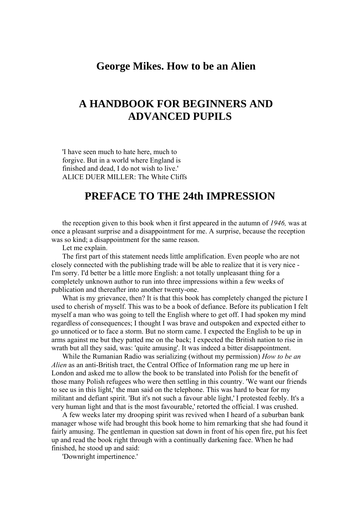#### **George Mikes. How to be an Alien**

# **A HANDBOOK FOR BEGINNERS AND ADVANCED PUPILS**

 'I have seen much to hate here, much to forgive. But in a world where England is finished and dead, I do not wish to live.' ALICE DUER MILLER: The White Cliffs

#### **PREFACE TO THE 24th IMPRESSION**

 the reception given to this book when it first appeared in the autumn of *1946,* was at once a pleasant surprise and a disappointment for me. A surprise, because the reception was so kind; a disappointment for the same reason.

Let me explain.

 The first part of this statement needs little amplification. Even people who are not closely connected with the publishing trade will be able to realize that it is very nice - I'm sorry. I'd better be a little more English: a not totally unpleasant thing for a completely unknown author to run into three impressions within a few weeks of publication and thereafter into another twenty-one.

What is my grievance, then? It is that this book has completely changed the picture I used to cherish of myself. This was to be a book of defiance. Before its publication I felt myself a man who was going to tell the English where to get off. I had spoken my mind regardless of consequences; I thought I was brave and outspoken and expected either to go unnoticed or to face a storm. But no storm came. I expected the English to be up in arms against me but they patted me on the back; I expected the British nation to rise in wrath but all they said, was: 'quite amusing'. It was indeed a bitter disappointment.

 While the Rumanian Radio was serializing (without my permission) *How to be an Alien* as an anti-British tract, the Central Office of Information rang me up here in London and asked me to allow the book to be translated into Polish for the benefit of those many Polish refugees who were then settling in this country. 'We want our friends to see us in this light,' the man said on the telephone. This was hard to bear for my militant and defiant spirit. 'But it's not such a favour able light,' I protested feebly. It's a very human light and that is the most favourable,' retorted the official. I was crushed.

 A few weeks later my drooping spirit was revived when I heard of a suburban bank manager whose wife had brought this book home to him remarking that she had found it fairly amusing. The gentleman in question sat down in front of his open fire, put his feet up and read the book right through with a continually darkening face. When he had finished, he stood up and said:

'Downright impertinence.'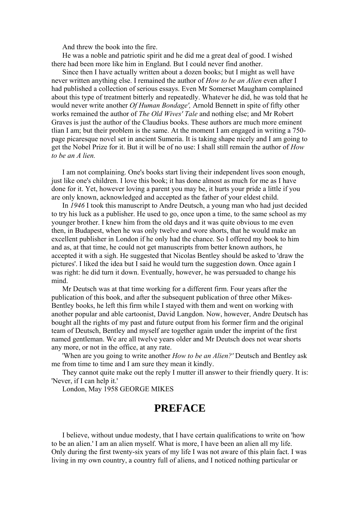And threw the book into the fire.

 He was a noble and patriotic spirit and he did me a great deal of good. I wished there had been more like him in England. But I could never find another.

 Since then I have actually written about a dozen books; but I might as well have never written anything else. I remained the author of *How to be an Alien* even after I had published a collection of serious essays. Even Mr Somerset Maugham complained about this type of treatment bitterly and repeatedly. Whatever he did, he was told that he would never write another *Of Human Bondage',* Arnold Bennett in spite of fifty other works remained the author of *The Old Wives' Tale* and nothing else; and Mr Robert Graves is just the author of the Claudius books. These authors are much more eminent tlian I am; but their problem is the same. At the moment I am engaged in writing a 750 page picaresque novel set in ancient Sumeria. It is taking shape nicely and I am going to get the Nobel Prize for it. But it will be of no use: I shall still remain the author of *How to be an A lien.*

 I am not complaining. One's books start living their independent lives soon enough, just like one's children. I love this book; it has done almost as much for me as I have done for it. Yet, however loving a parent you may be, it hurts your pride a little if you are only known, acknowledged and accepted as the father of your eldest child.

 In *1946* I took this manuscript to Andre Deutsch, a young man who had just decided to try his luck as a publisher. He used to go, once upon a time, to the same school as my younger brother. I knew him from the old days and it was quite obvious to me even then, in Budapest, when he was only twelve and wore shorts, that he would make an excellent publisher in London if he only had the chance. So I offered my book to him and as, at that time, he could not get manuscripts from better known authors, he accepted it with a sigh. He suggested that Nicolas Bentley should be asked to 'draw the pictures'. I liked the idea but I said he would turn the suggestion down. Once again I was right: he did turn it down. Eventually, however, he was persuaded to change his mind.

 Mr Deutsch was at that time working for a different firm. Four years after the publication of this book, and after the subsequent publication of three other Mikes-Bentley books, he left this firm while I stayed with them and went on working with another popular and able cartoonist, David Langdon. Now, however, Andre Deutsch has bought all the rights of my past and future output from his former firm and the original team of Deutsch, Bentley and myself are together again under the imprint of the first named gentleman. We are all twelve years older and Mr Deutsch does not wear shorts any more, or not in the office, at any rate.

 'When are you going to write another *How to be an Alien?'* Deutsch and Bentley ask me from time to time and I am sure they mean it kindly.

 They cannot quite make out the reply I mutter ill answer to their friendly query. It is: 'Never, if I can help it.'

London, May 1958 GEORGE MIKES

#### **PREFACE**

 I believe, without undue modesty, that I have certain qualifications to write on 'how to be an alien.' I am an alien myself. What is more, I have been an alien all my life. Only during the first twenty-six years of my life I was not aware of this plain fact. I was living in my own country, a country full of aliens, and I noticed nothing particular or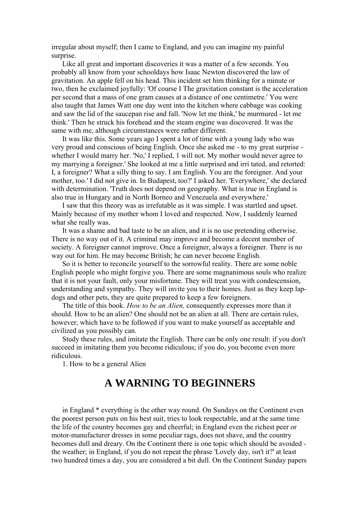irregular about myself; then I came to England, and you can imagine my painful surprise.

 Like all great and important discoveries it was a matter of a few seconds. You probably all know from your schooldays how Isaac Newton discovered the law of gravitation. An apple fell on his head. This incident set him thinking for a minute or two, then he exclaimed joyfully: 'Of course I The gravitation constant is the acceleration per second that a mass of one gram causes at a distance of one centimetre.' You were also taught that James Watt one day went into the kitchen where cabbage was cooking and saw the lid of the saucepan rise and fall. 'Now let me think,' he murmured - let me think.' Then he struck his forehead and the steam engine was discovered. It was the same with me, although circumstances were rather different.

 It was like this. Some years ago I spent a lot of time with a young lady who was very proud and conscious of being English. Once she asked me - to my great surprise whether I would marry her. 'No,' I replied, 1 will not. My mother would never agree to my marrying a foreigner.' She looked at me a little surprised and irri tated, and retorted: I, a foreigner? What a silly thing to say. I am English. You are the foreigner. And your mother, too.' I did not give in. In Budapest, too?' I asked her. 'Everywhere,' she declared with determination. 'Truth does not depend on geography. What is true in England is also true in Hungary and in North Borneo and Venezuela and everywhere.'

 I saw that this theory was as irrefutable as it was simple. I was startled and upset. Mainly because of my mother whom I loved and respected. Now, I suddenly learned what she really was.

 It was a shame and bad taste to be an alien, and it is no use pretending otherwise. There is no way out of it. A criminal may improve and become a decent member of society. A foreigner cannot improve. Once a foreigner, always a foreigner. There is no way out for him. He may become British; he can never become English.

 So it is better to reconcile yourself to the sorrowful reality. There are some noble English people who might forgive you. There are some magnanimous souls who realize that it is not your fault, only your misfortune. They will treat you with condescension, understanding and sympathy. They will invite you to their homes. Just as they keep lapdogs and other pets, they are quite prepared to keep a few foreigners.

 The title of this book. *How to be an Alien,* consequently expresses more than it should. How to be an alien? One should not be an alien at all. There are certain rules, however, which have to be followed if you want to make yourself as acceptable and civilized as you possibly can.

 Study these rules, and imitate the English. There can be only one result: if you don't succeed in imitating them you become ridiculous; if you do, you become even more ridiculous.

1. How to be a general Alien

# **A WARNING TO BEGINNERS**

 in England \* everything is the other way round. On Sundays on the Continent even the poorest person puts on his best suit, tries to look respectable, and at the same time the life of the country becomes gay and cheerful; in England even the richest peer or motor-manufacturer dresses in some peculiar rags, does not shave, and the country becomes dull and dreary. On the Continent there is one topic which should be avoided the weather; in England, if you do not repeat the phrase 'Lovely day, isn't it?' at least two hundred times a day, you are considered a bit dull. On the Continent Sunday papers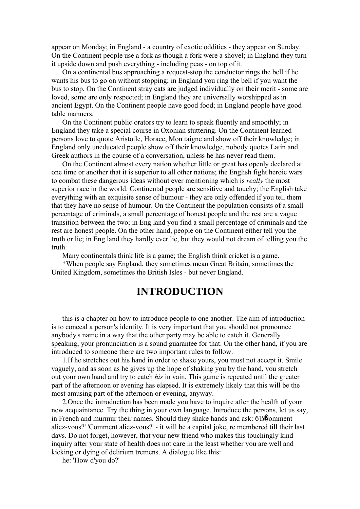appear on Monday; in England - a country of exotic oddities - they appear on Sunday. On the Continent people use a fork as though a fork were a shovel; in England they turn it upside down and push everything - including peas - on top of it.

 On a continental bus approaching a request-stop the conductor rings the bell if he wants his bus to go on without stopping; in England you ring the bell if you want the bus to stop. On the Continent stray cats are judged individually on their merit - some are loved, some are only respected; in England they are universally worshipped as in ancient Egypt. On the Continent people have good food; in England people have good table manners.

 On the Continent public orators try to learn to speak fluently and smoothly; in England they take a special course in Oxonian stuttering. On the Continent learned persons love to quote Aristotle, Horace, Mon taigne and show off their knowledge; in England only uneducated people show off their knowledge, nobody quotes Latin and Greek authors in the course of a conversation, unless he has never read them.

 On the Continent almost every nation whether little or great has openly declared at one time or another that it is superior to all other nations; the English fight heroic wars to combat these dangerous ideas without ever mentioning which is *really* the most superior race in the world. Continental people are sensitive and touchy; the English take everything with an exquisite sense of humour - they are only offended if you tell them that they have no sense of humour. On the Continent the population consists of a small percentage of criminals, a small percentage of honest people and the rest are a vague transition between the two; in Eng land you find a small percentage of criminals and the rest are honest people. On the other hand, people on the Continent either tell you the truth or lie; in Eng land they hardly ever lie, but they would not dream of telling you the truth.

Many continentals think life is a game; the English think cricket is a game.

 \*When people say England, they sometimes mean Great Britain, sometimes the United Kingdom, sometimes the British Isles - but never England.

#### **INTRODUCTION**

 this is a chapter on how to introduce people to one another. The aim of introduction is to conceal a person's identity. It is very important that you should not pronounce anybody's name in a way that the other party may be able to catch it. Generally speaking, your pronunciation is a sound guarantee for that. On the other hand, if you are introduced to someone there are two important rules to follow.

 1.If he stretches out his hand in order to shake yours, you must not accept it. Smile vaguely, and as soon as he gives up the hope of shaking you by the hand, you stretch out your own hand and try to catch *his* in vain. This game is repeated until the greater part of the afternoon or evening has elapsed. It is extremely likely that this will be the most amusing part of the afternoon or evening, anyway.

 2.Once the introduction has been made you have to inquire after the health of your new acquaintance. Try the thing in your own language. Introduce the persons, let us say, in French and murmur their names. Should they shake hands and ask: бЂ $\hat{Q}$ omment aliez-vous?' 'Comment aliez-vous?' - it will be a capital joke, re membered till their last davs. Do not forget, however, that your new friend who makes this touchingly kind inquiry after your state of health does not care in the least whether you are well and kicking or dying of delirium tremens. A dialogue like this:

he: 'How d'you do?'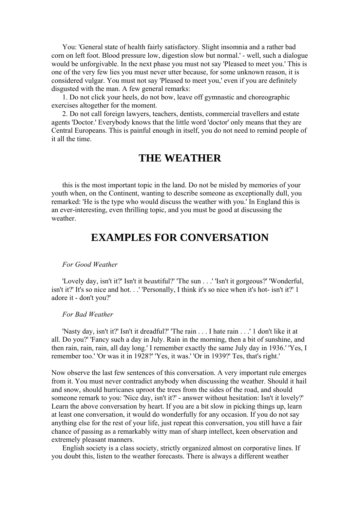You: 'General state of health fairly satisfactory. Slight insomnia and a rather bad corn on left foot. Blood pressure low, digestion slow but normal.' - well, such a dialogue would be unforgivable. In the next phase you must not say 'Pleased to meet you.' This is one of the very few lies you must never utter because, for some unknown reason, it is considered vulgar. You must not say 'Pleased to meet you,' even if you are definitely disgusted with the man. A few general remarks:

 1. Do not click your heels, do not bow, leave off gymnastic and choreographic exercises altogether for the moment.

 2. Do not call foreign lawyers, teachers, dentists, commercial travellers and estate agents 'Doctor.' Everybody knows that the little word 'doctor' only means that they are Central Europeans. This is painful enough in itself, you do not need to remind people of it all the time.

#### **THE WEATHER**

 this is the most important topic in the land. Do not be misled by memories of your youth when, on the Continent, wanting to describe someone as exceptionally dull, you remarked: 'He is the type who would discuss the weather with you.' In England this is an ever-interesting, even thrilling topic, and you must be good at discussing the weather.

#### **EXAMPLES FOR CONVERSATION**

#### *For Good Weather*

 'Lovely day, isn't it?' Isn't it b*eau*tiful?' 'The sun . . .' 'Isn't it gorgeous?' 'Wonderful, isn't it?' It's so nice and hot. . .' 'Personally, I think it's so nice when it's hot- isn't it?' 1 adore it - don't you?'

#### *For Bad Weather*

 'Nasty day, isn't it?' Isn't it dreadful?' 'The rain . . . I hate rain . . .' 1 don't like it at all. Do you?' 'Fancy such a day in July. Rain in the morning, then a bit of sunshine, and then rain, rain, rain, all day long.' I remember exactly the same July day in 1936.' 'Yes, I remember too.' 'Or was it in 1928?' 'Yes, it was.' 'Or in 1939?' Tes, that's right.'

Now observe the last few sentences of this conversation. A very important rule emerges from it. You must never contradict anybody when discussing the weather. Should it hail and snow, should hurricanes uproot the trees from the sides of the road, and should someone remark to you: 'Nice day, isn't it?' - answer without hesitation: Isn't it lovely?' Learn the above conversation by heart. If you are a bit slow in picking things up, learn at least one conversation, it would do wonderfully for any occasion. If you do not say anything else for the rest of your life, just repeat this conversation, you still have a fair chance of passing as a remarkably witty man of sharp intellect, keen observation and extremely pleasant manners.

 English society is a class society, strictly organized almost on corporative lines. If you doubt this, listen to the weather forecasts. There is always a different weather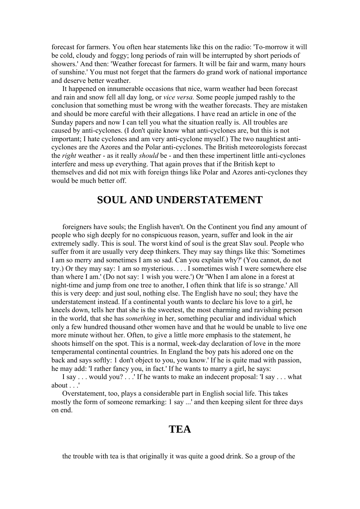forecast for farmers. You often hear statements like this on the radio: 'To-morrow it will be cold, cloudy and foggy; long periods of rain will be interrupted by short periods of showers.' And then: 'Weather forecast for farmers. It will be fair and warm, many hours of sunshine.' You must not forget that the farmers do grand work of national importance and deserve better weather.

 It happened on innumerable occasions that nice, warm weather had been forecast and rain and snow fell all day long, or *vice versa.* Some people jumped rashly to the conclusion that something must be wrong with the weather forecasts. They are mistaken and should be more careful with their allegations. I have read an article in one of the Sunday papers and now I can tell you what the situation really is. All troubles are caused by anti-cyclones. (I don't quite know what anti-cyclones are, but this is not important; I hate cyclones and am very anti-cyclone myself.) The two naughtiest anticyclones are the Azores and the Polar anti-cyclones. The British meteorologists forecast the *right* weather - as it really *should* be - and then these impertinent little anti-cyclones interfere and mess up everything. That again proves that if the British kept to themselves and did not mix with foreign things like Polar and Azores anti-cyclones they would be much better off.

#### **SOUL AND UNDERSTATEMENT**

 foreigners have souls; the English haven't. On the Continent you find any amount of people who sigh deeply for no conspicuous reason, yearn, suffer and look in the air extremely sadly. This is soul. The worst kind of soul is the great Slav soul. People who suffer from it are usually very deep thinkers. They may say things like this: 'Sometimes I am so merry and sometimes I am so sad. Can you explain why?' (You cannot, do not try.) Or they may say: 1 am so mysterious. . . . I sometimes wish I were somewhere else than where I am.' (Do not say: 1 wish you were.') Or 'When I am alone in a forest at night-time and jump from one tree to another, I often think that life is so strange.' All this is very deep: and just soul, nothing else. The English have no soul; they have the understatement instead. If a continental youth wants to declare his love to a girl, he kneels down, tells her that she is the sweetest, the most charming and ravishing person in the world, that she has *something* in her, something peculiar and individual which only a few hundred thousand other women have and that he would be unable to live one more minute without her. Often, to give a little more emphasis to the statement, he shoots himself on the spot. This is a normal, week-day declaration of love in the more temperamental continental countries. In England the boy pats his adored one on the back and says softly: 1 don't object to you, you know.' If he is quite mad with passion, he may add: 'I rather fancy you, in fact.' If he wants to marry a girl, he says:

 I say . . . would you? . . .' If he wants to make an indecent proposal: 'I say . . . what about . . .'

 Overstatement, too, plays a considerable part in English social life. This takes mostly the form of someone remarking: 1 say ...' and then keeping silent for three days on end.

#### **TEA**

the trouble with tea is that originally it was quite a good drink. So a group of the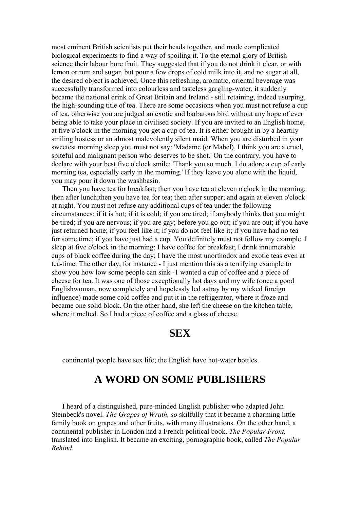most eminent British scientists put their heads together, and made complicated biological experiments to find a way of spoiling it. To the eternal glory of British science their labour bore fruit. They suggested that if you do not drink it clear, or with lemon or rum and sugar, but pour a few drops of cold milk into it, and no sugar at all, the desired object is achieved. Once this refreshing, aromatic, oriental beverage was successfully transformed into colourless and tasteless gargling-water, it suddenly became the national drink of Great Britain and Ireland - still retaining, indeed usurping, the high-sounding title of tea. There are some occasions when you must not refuse a cup of tea, otherwise you are judged an exotic and barbarous bird without any hope of ever being able to take your place in civilised society. If you are invited to an English home, at five o'clock in the morning you get a cup of tea. It is either brought in by a heartily smiling hostess or an almost malevolently silent maid. When you are disturbed in your sweetest morning sleep you must not say: 'Madame (or Mabel), I think you are a cruel, spiteful and malignant person who deserves to be shot.' On the contrary, you have to declare with your best five o'clock smile: 'Thank you so much. I do adore a cup of early morning tea, especially early in the morning.' If they leave you alone with the liquid, you may pour it down the washbasin.

 Then you have tea for breakfast; then you have tea at eleven o'clock in the morning; then after lunch;then you have tea for tea; then after supper; and again at eleven o'clock at night. You must not refuse any additional cups of tea under the following circumstances: if it is hot; if it is cold; if you are tired; if anybody thinks that you might be tired; if you are nervous; if you are gay; before you go out; if you are out; if you have just returned home; if you feel like it; if you do not feel like it; if you have had no tea for some time; if you have just had a cup. You definitely must not follow my example. I sleep at five o'clock in the morning; I have coffee for breakfast; I drink innumerable cups of black coffee during the day; I have the most unorthodox and exotic teas even at tea-time. The other day, for instance - I just mention this as a terrifying example to show you how low some people can sink -1 wanted a cup of coffee and a piece of cheese for tea. It was one of those exceptionally hot days and my wife (once a good Englishwoman, now completely and hopelessly led astray by my wicked foreign influence) made some cold coffee and put it in the refrigerator, where it froze and became one solid block. On the other hand, she left the cheese on the kitchen table, where it melted. So I had a piece of coffee and a glass of cheese.

#### **SEX**

continental people have sex life; the English have hot-water bottles.

### **A WORD ON SOME PUBLISHERS**

 I heard of a distinguished, pure-minded English publisher who adapted John Steinbeck's novel. *The Grapes of Wrath, so* skilfully that it became a charming little family book on grapes and other fruits, with many illustrations. On the other hand, a continental publisher in London had a French political book. *The Popular Front,* translated into English. It became an exciting, pornographic book, called *The Popular Behind.*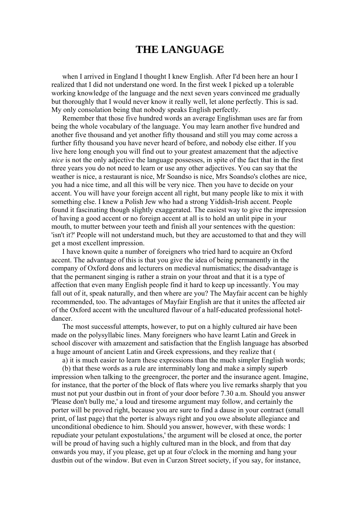#### **THE LANGUAGE**

 when I arrived in England I thought I knew English. After I'd been here an hour I realized that I did not understand one word. In the first week I picked up a tolerable working knowledge of the language and the next seven years convinced me gradually but thoroughly that I would never know it really well, let alone perfectly. This is sad. My only consolation being that nobody speaks English perfectly.

 Remember that those five hundred words an average Englishman uses are far from being the whole vocabulary of the language. You may learn another five hundred and another five thousand and yet another fifty thousand and still you may come across a further fifty thousand you have never heard of before, and nobody else either. If you live here long enough you will find out to your greatest amazement that the adjective *nice* is not the only adjective the language possesses, in spite of the fact that in the first three years you do not need to learn or use any other adjectives. You can say that the weather is nice, a restaurant is nice, Mr Soandso is nice, Mrs Soandso's clothes are nice, you had a nice time, and all this will be very nice. Then you have to decide on your accent. You will have your foreign accent all right, but many people like to mix it with something else. I knew a Polish Jew who had a strong Yiddish-Irish accent. People found it fascinating though slightly exaggerated. The easiest way to give the impression of having a good accent or no foreign accent at all is to hold an unlit pipe in your mouth, to mutter between your teeth and finish all your sentences with the question: 'isn't it?' People will not understand much, but they are accustomed to that and they will get a most excellent impression.

 I have known quite a number of foreigners who tried hard to acquire an Oxford accent. The advantage of this is that you give the idea of being permanently in the company of Oxford dons and lecturers on medieval numismatics; the disadvantage is that the permanent singing is rather a strain on your throat and that it is a type of affection that even many English people find it hard to keep up incessantly. You may fall out of it, speak naturally, and then where are you? The Mayfair accent can be highly recommended, too. The advantages of Mayfair English are that it unites the affected air of the Oxford accent with the uncultured flavour of a half-educated professional hoteldancer.

 The most successful attempts, however, to put on a highly cultured air have been made on the polysyllabic lines. Many foreigners who have learnt Latin and Greek in school discover with amazement and satisfaction that the English language has absorbed a huge amount of ancient Latin and Greek expressions, and they realize that (

a) it is much easier to learn these expressions than the much simpler English words;

 (b) that these words as a rule are interminably long and make a simply superb impression when talking to the greengrocer, the porter and the insurance agent. Imagine, for instance, that the porter of the block of flats where you live remarks sharply that you must not put your dustbin out in front of your door before 7.30 a.m. Should you answer 'Please don't bully me,' a loud and tiresome argument may follow, and certainly the porter will be proved right, because you are sure to find a dause in your contract (small print, of last page) that the porter is always right and you owe absolute allegiance and unconditional obedience to him. Should you answer, however, with these words: 1 repudiate your petulant expostulations,' the argument will be closed at once, the porter will be proud of having such a highly cultured man in the block, and from that day onwards you may, if you please, get up at four o'clock in the morning and hang your dustbin out of the window. But even in Curzon Street society, if you say, for instance,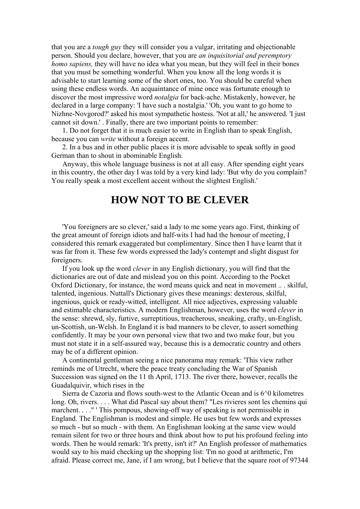that you are a *tough guy* they will consider you a vulgar, irritating and objectionable person. Should you declare, however, that you are *an inquisitorial and peremptory homo sapiens,* they will have no idea what you mean, but they will feel in their bones that you must be something wonderful. When you know all the long words it is advisable to start learning some of the short ones, too. You should be careful when using these endless words. An acquaintance of mine once was fortunate enough to discover the most impressive word *notalgia* for back-ache. Mistakenly, however, he declared in a large company: 'I have such a nostalgia.' 'Oh, you want to go home to Nizhne-Novgorod?' asked his most sympathetic hostess. 'Not at all,' he answered. 'I just cannot sit down.' . Finally, there are two important points to remember:

 1. Do not forget that it is much easier to write in English than to speak English, because you can *write* without a foreign accent.

 2. In a bus and in other public places it is more advisable to speak softly in good German than to shout in abominable English.

 Anyway, this whole language business is not at all easy. After spending eight years in this country, the other day I was told by a very kind lady: 'But why do you complain? You really speak a most excellent accent without the slightest English.'

# **HOW NOT TO BE CLEVER**

 'You foreigners are so clever,' said a lady to me some years ago. First, thinking of the great amount of foreign idiots and half-wits I had had the honour of meeting, I considered this remark exaggerated but complimentary. Since then I have learnt that it was far from it. These few words expressed the lady's contempt and slight disgust for foreigners.

 If you look up the word *clever* in any English dictionary, you will find that the dictionaries are out of date and mislead you on this point. According to the Pocket Oxford Dictionary, for instance, the word means quick and neat in movement .. . skilful, talented, ingenious. Nuttall's Dictionary gives these meanings: dexterous, skilful, ingenious, quick or ready-witted, intelligent. All nice adjectives, expressing valuable and estimable characteristics. A modern Englishman, however, uses the word *clever* in the sense: shrewd, sly, furtive, surreptitious, treacherous, sneaking, crafty, un-English, un-Scottish, un-Welsh. In England it is bad manners to be clever, to assert something confidently. It may be your own personal view that two and two make four, but you must not state it in a self-assured way, because this is a democratic country and others may be of a different opinion.

 A continental gentleman seeing a nice panorama may remark: 'This view rather reminds me of Utrecht, where the peace treaty concluding the War of Spanish Succession was signed on the 11 th April, 1713. The river there, however, recalls the Guadalquivir, which rises in the

 Sierra de Cazoria and flows south-west to the Atlantic Ocean and is 6^0 kilometres long. Oh, rivers. . . . What did Pascal say about them? "Les rivieres sont les chemins qui marchent. . . ." ' This pompous, showing-off way of speaking is not permissible in England. The Englishman is modest and simple. He uses but few words and expresses so much - but so much - with them. An Englishman looking at the same view would remain silent for two or three hours and think about how to put his profound feeling into words. Then he would remark: 'It's pretty, isn't it?' An English professor of mathematics would say to his maid checking up the shopping list: 'I'm no good at arithmetic, I'm afraid. Please correct me, Jane, if I am wrong, but I believe that the square root of 97344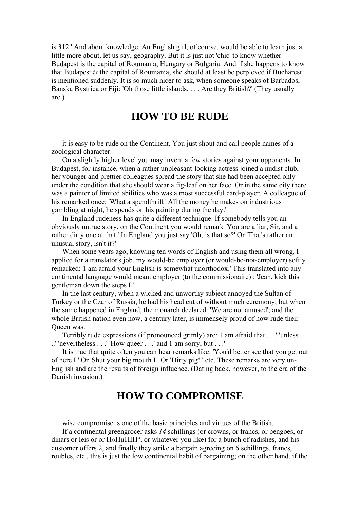is 312.' And about knowledge. An English girl, of course, would be able to learn just a little more about, let us say, geography. But it is just not 'chic' to know whether Budapest is the capital of Roumania, Hungary or Bulgaria. And if she happens to know that Budapest *is* the capital of Roumania, she should at least be perplexed if Bucharest is mentioned suddenly. It is so much nicer to ask, when someone speaks of Barbados, Banska Bystrica or Fiji: 'Oh those little islands... Are they British?' (They usually are.)

### **HOW TO BE RUDE**

 it is easy to be rude on the Continent. You just shout and call people names of a zoological character.

 On a slightly higher level you may invent a few stories against your opponents. In Budapest, for instance, when a rather unpleasant-looking actress joined a nudist club, her younger and prettier colleagues spread the story that she had been accepted only under the condition that she should wear a fig-leaf on her face. Or in the same city there was a painter of limited abilities who was a most successful card-player. A colleague of his remarked once: 'What a spendthrift! All the money he makes on industrious gambling at night, he spends on his painting during the day.'

 In England rudeness has quite a different technique. If somebody tells you an obviously untrue story, on the Continent you would remark 'You are a liar, Sir, and a rather dirty one at that.' In England you just say 'Oh, is that so?' Or 'That's rather an unusual story, isn't it?'

 When some years ago, knowing ten words of English and using them all wrong, I applied for a translator's job, my would-be employer (or would-be-not-employer) softly remarked: 1 am afraid your English is somewhat unorthodox.' This translated into any continental language would mean: employer (to the commissionaire) : 'Jean, kick this gentleman down the steps I '

 In the last century, when a wicked and unworthy subject annoyed the Sultan of Turkey or the Czar of Russia, he had his head cut of without much ceremony; but when the same happened in England, the monarch declared: 'We are not amused'; and the whole British nation even now, a century later, is immensely proud of how rude their Queen was.

 Terribly rude expressions (if pronounced grimly) are: 1 am afraid that . . .' 'unless . ..' 'nevertheless . . .' 'How queer . . .' and 1 am sorry, but . . .'

 It is true that quite often you can hear remarks like: 'You'd better see that you get out of here I ' Or 'Shut your big mouth I ' Or 'Dirty pig! ' etc. These remarks are very un-English and are the results of foreign influence. (Dating back, however, to the era of the Danish invasion.)

# **HOW TO COMPROMISE**

wise compromise is one of the basic principles and virtues of the British.

 If a continental greengrocer asks *14* schillings (or crowns, or francs, or pengoes, or dinars or leis or or  $\Pi \rightarrow \Pi \mu \Pi \Pi \Pi$ <sup>o</sup>, or whatever you like) for a bunch of radishes, and his customer offers 2, and finally they strike a bargain agreeing on 6 schillings, francs, roubles, etc., this is just the low continental habit of bargaining; on the other hand, if the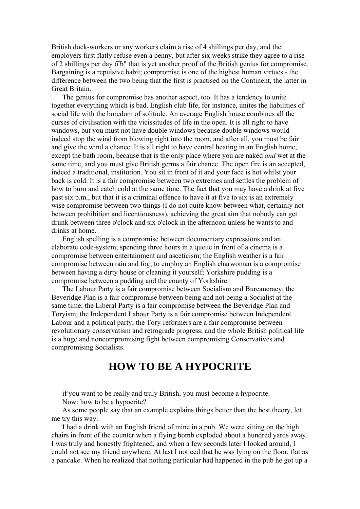British dock-workers or any workers claim a rise of 4 shillings per day, and the employers first flatly refuse even a penny, but after six weeks strike they agree to a rise of 2 shillings per day бЂ" that is yet another proof of the British genius for compromise. Bargaining is a repulsive habit; compromise is one of the highest human virtues - the difference between the two being that the first is practised on the Continent, the latter in Great Britain.

 The genius for compromise has another aspect, too. It has a tendency to unite together everything which is bad. English club life, for instance, unites the liabilities of social life with the boredom of solitude. An average English house combines all the curses of civilisation with the vicissitudes of life in the open. It is all right to have windows, but you must not have double windows because double windows would indeed stop the wind from blowing right into the room, and after all, you must be fair and give the wind a chance. It is all right to have central heating in an English home, except the bath room, because that is the only place where you are naked *and* wet at the same time, and you must give British germs a fair chance. The open fire is an accepted, indeed a traditional, institution. You sit in front of it and your face is hot whilst your back is cold. It is a fair compromise between two extremes and settles the problem of how to burn and catch cold at the same time. The fact that you may have a drink at five past six p.m., but that it is a criminal offence to have it at five to six is an extremely wise compromise between two things (I do not quite know between what, certainly not between prohibition and licentiousness), achieving the great aim that nobody can get drunk between three o'clock and six o'clock in the afternoon unless he wants to and drinks at home.

 English spelling is a compromise between documentary expressions and an elaborate code-system; spending three hours in a queue in front of a cinema is a compromise between entertainment and asceticism; the English weather is a fair compromise between rain and fog; to employ an English charwoman is a compromise between having a dirty house or cleaning it yourself; Yorkshire pudding is a compromise between a pudding and the county of Yorkshire.

 The Labour Party is a fair compromise between Socialism and Bureaucracy; the Beveridge Plan is a fair compromise between being and not being a Socialist at the same time; the Liberal Party is a fair compromise between the Beveridge Plan and Toryism; the Independent Labour Party is a fair compromise between Independent Labour and a political party; the Tory-reformers are a fair compromise between revolutionary conservatism and retrograde progress; and the whole British political life is a huge and noncompromising fight between compromising Conservatives and compromising Socialists.

### **HOW TO BE A HYPOCRITE**

 if you want to be really and truly British, you must become a hypocrite. Now: how to be a hypocrite?

 As some people say that an example explains things better than the best theory, let me try this way.

 I had a drink with an English friend of mine in a pub. We were sitting on the high chairs in front of the counter when a flying bomb exploded about a hundred yards away. I was truly and honestly frightened, and when a few seconds later I looked around, I could not see my friend anywhere. At last I noticed that he was lying on the floor, flat as a pancake. When he realized that nothing particular had happened in the pub he got up a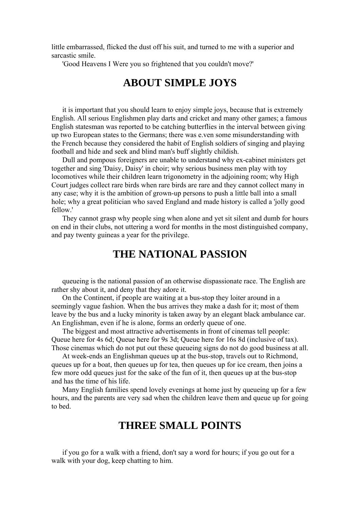little embarrassed, flicked the dust off his suit, and turned to me with a superior and sarcastic smile.

'Good Heavens I Were you so frightened that you couldn't move?'

# **ABOUT SIMPLE JOYS**

 it is important that you should learn to enjoy simple joys, because that is extremely English. All serious Englishmen play darts and cricket and many other games; a famous English statesman was reported to be catching butterflies in the interval between giving up two European states to the Germans; there was e.ven some misunderstanding with the French because they considered the habit of English soldiers of singing and playing football and hide and seek and blind man's buff slightly childish.

 Dull and pompous foreigners are unable to understand why ex-cabinet ministers get together and sing 'Daisy, Daisy' in choir; why serious business men play with toy locomotives while their children learn trigonometry in the adjoining room; why High Court judges collect rare birds when rare birds are rare and they cannot collect many in any case; why it is the ambition of grown-up persons to push a little ball into a small hole; why a great politician who saved England and made history is called a 'jolly good fellow.'

 They cannot grasp why people sing when alone and yet sit silent and dumb for hours on end in their clubs, not uttering a word for months in the most distinguished company, and pay twenty guineas a year for the privilege.

### **THE NATIONAL PASSION**

 queueing is the national passion of an otherwise dispassionate race. The English are rather shy about it, and deny that they adore it.

 On the Continent, if people are waiting at a bus-stop they loiter around in a seemingly vague fashion. When the bus arrives they make a dash for it; most of them leave by the bus and a lucky minority is taken away by an elegant black ambulance car. An Englishman, even if he is alone, forms an orderly queue of one.

 The biggest and most attractive advertisements in front of cinemas tell people: Queue here for 4s 6d; Queue here for 9s 3d; Queue here for 16s 8d (inclusive of tax). Those cinemas which do not put out these queueing signs do not do good business at all.

 At week-ends an Englishman queues up at the bus-stop, travels out to Richmond, queues up for a boat, then queues up for tea, then queues up for ice cream, then joins a few more odd queues just for the sake of the fun of it, then queues up at the bus-stop and has the time of his life.

 Many English families spend lovely evenings at home just by queueing up for a few hours, and the parents are very sad when the children leave them and queue up for going to bed.

# **THREE SMALL POINTS**

 if you go for a walk with a friend, don't say a word for hours; if you go out for a walk with your dog, keep chatting to him.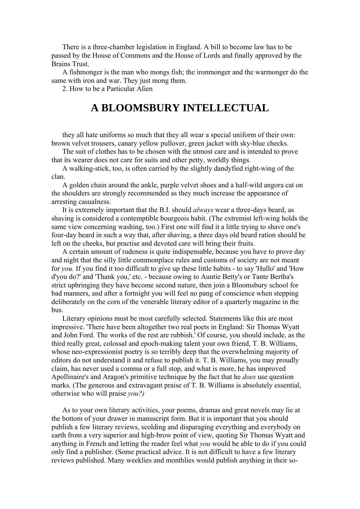There is a three-chamber legislation in England. A bill to become law has to be passed by the House of Commons and the House of Lords and finally approved by the Brains Trust.

 A fishmonger is the man who mongs fish; the ironmonger and the warmonger do the same with iron and war. They just mong them.

2. How to be a Particular Alien

# **A BLOOMSBURY INTELLECTUAL**

 they all hate uniforms so much that they all wear a special uniform of their own: brown velvet trousers, canary yellow pullover, green jacket with sky-blue checks.

 The suit of clothes has to be chosen with the utmost care and is intended to prove that its wearer does not care for suits and other petty, worldly things.

 A walking-stick, too, is often carried by the slightly dandyfied right-wing of the clan.

 A golden chain around the ankle, purple velvet shoes and a half-wild angora cat on the shoulders are strongly recommended as they much increase the appearance of arresting casualness.

 It is extremely important that the B.I. should *always* wear a three-days beard, as shaving is considered a contemptible bourgeois habit. (The extremist left-wing holds the same view concerning washing, too.) First one will find it a little trying to shave one's four-day beard in such a way that, after shaving, a three days old beard ration should be left on the cheeks, but practise and devoted care will bring their fruits.

 A certain amount of rudeness is quite indispensable, because you have to prove day and night that the silly little commonplace rules and customs of society are not meant for *you.* If you find it too difficult to give up these little habits - to say 'Hullo' and 'How d'you do?' and 'Thank you,' etc. - because owing to Auntie Betty's or Tante Bertha's strict upbringing they have become second nature, then join a Bloomsbury school for bad manners, and after a fortnight you will feel no pang of conscience when stepping deliberately on the corn of the venerable literary editor of a quarterly magazine in the bus.

 Literary opinions must be most carefully selected. Statements like this are most impressive. 'There have been altogether two real poets in England: Sir Thomas Wyatt and John Ford. The works of the rest are rubbish.' Of course, you should include, as the third really great, colossal and epoch-making talent your own friend, T. B. Williams, whose neo-expressionist poetry is so terribly deep that the overwhelming majority of editors do not understand it and refuse to publish it. T. B. Williams, you may proudly claim, has never used a comma or a full stop, and what is more, he has improved Apollinaire's and Aragon's primitive technique by the fact that he *does* use question marks. (The generous and extravagant praise of T. B. Williams is absolutely essential, otherwise who will praise *you?)*

 As to your own literary activities, your poems, dramas and great novels may lie at the bottom of your drawer in manuscript form. But it is important that you should publish a few literary reviews, scolding and disparaging everything and everybody on earth from a very superior and high-brow point of view, quoting Sir Thomas Wyatt and anything in French and letting the reader feel what *you* would be able to do if you could only find a publisher. (Some practical advice. It is not difficult to have a few literary reviews published. Many weeklies and monthlies would publish anything in their so-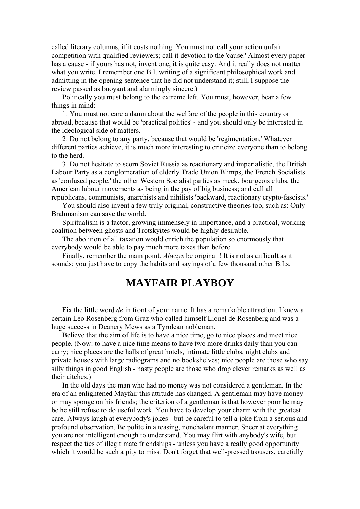called literary columns, if it costs nothing. You must not call your action unfair competition with qualified reviewers; call it devotion to the 'cause.' Almost every paper has a cause - if yours has not, invent one, it is quite easy. And it really does not matter what you write. I remember one B.I. writing of a significant philosophical work and admitting in the opening sentence that he did not understand it; still, I suppose the review passed as buoyant and alarmingly sincere.)

 Politically you must belong to the extreme left. You must, however, bear a few things in mind:

 1. You must not care a damn about the welfare of the people in this country or abroad, because that would be 'practical politics' - and you should only be interested in the ideological side of matters.

 2. Do not belong to any party, because that would be 'regimentation.' Whatever different parties achieve, it is much more interesting to criticize everyone than to belong to the herd.

 3. Do not hesitate to scorn Soviet Russia as reactionary and imperialistic, the British Labour Party as a conglomeration of elderly Trade Union Blimps, the French Socialists as 'confused people,' the other Western Socialist parties as meek, bourgeois clubs, the American labour movements as being in the pay of big business; and call all republicans, communists, anarchists and nihilists 'backward, reactionary crypto-fascists.'

 You should also invent a few truly original, constructive theories too, such as: Only Brahmanism can save the world.

 Spiritualism is a factor, growing immensely in importance, and a practical, working coalition between ghosts and Trotskyites would be highly desirable.

 The abolition of all taxation would enrich the population so enormously that everybody would be able to pay much more taxes than before.

 Finally, remember the main point. *Always* be original ! It is not as difficult as it sounds: you just have to copy the habits and sayings of a few thousand other B.I.s.

### **MAYFAIR PLAYBOY**

 Fix the little word *de* in front of your name. It has a remarkable attraction. I knew a certain Leo Rosenberg from Graz who called himself Lionel de Rosenberg and was a huge success in Deanery Mews as a Tyrolean nobleman.

 Believe that the aim of life is to have a nice time, go to nice places and meet nice people. (Now: to have a nice time means to have two more drinks daily than you can carry; nice places are the halls of great hotels, intimate little clubs, night clubs and private houses with large radiograms and no bookshelves; nice people are those who say silly things in good English - nasty people are those who drop clever remarks as well as their aitches.)

 In the old days the man who had no money was not considered a gentleman. In the era of an enlightened Mayfair this attitude has changed. A gentleman may have money or may sponge on his friends; the criterion of a gentleman is that however poor he may be he still refuse to do useful work. You have to develop your charm with the greatest care. Always laugh at everybody's jokes - but be careful to tell a joke from a serious and profound observation. Be polite in a teasing, nonchalant manner. Sneer at everything you are not intelligent enough to understand. You may flirt with anybody's wife, but respect the ties of illegitimate friendships - unless you have a really good opportunity which it would be such a pity to miss. Don't forget that well-pressed trousers, carefully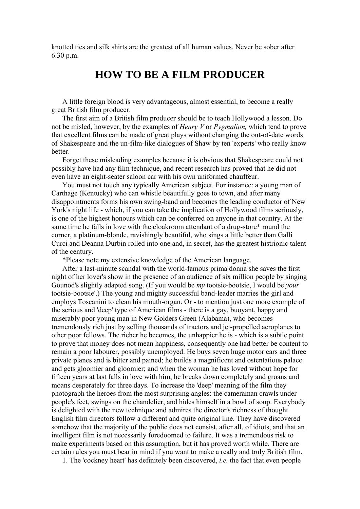knotted ties and silk shirts are the greatest of all human values. Never be sober after 6.30 p.m.

#### **HOW TO BE A FILM PRODUCER**

 A little foreign blood is very advantageous, almost essential, to become a really great British film producer.

 The first aim of a British film producer should be to teach Hollywood a lesson. Do not be misled, however, by the examples of *Henry V* or *Pygmalion,* which tend to prove that excellent films can be made of great plays without changing the out-of-date words of Shakespeare and the un-film-like dialogues of Shaw by ten 'experts' who really know better.

 Forget these misleading examples because it is obvious that Shakespeare could not possibly have had any film technique, and recent research has proved that he did not even have an eight-seater saloon car with his own uniformed chauffeur.

 You must not touch any typically American subject. For instance: a young man of Carthage (Kentucky) who can whistle beautifully goes to town, and after many disappointments forms his own swing-band and becomes the leading conductor of New York's night life - which, if you can take the implication of Hollywood films seriously, is one of the highest honours which can be conferred on anyone in that country. At the same time he falls in love with the cloakroom attendant of a drug-store\* round the corner, a platinum-blonde, ravishingly beautiful, who sings a little better than Galli Curci and Deanna Durbin rolled into one and, in secret, has the greatest histrionic talent of the century.

\*Please note my extensive knowledge of the American language.

 After a last-minute scandal with the world-famous prima donna she saves the first night of her lover's show in the presence of an audience of six million people by singing Gounod's slightly adapted song. (If you would be *my* tootsie-bootsie, I would be *your* tootsie-bootsie'.) The young and mighty successful band-leader marries the girl and employs Toscanini to clean his mouth-organ. Or - to mention just one more example of the serious and 'deep' type of American films - there is a gay, buoyant, happy and miserably poor young man in New Golders Green (Alabama), who becomes tremendously rich just by selling thousands of tractors and jet-propelled aeroplanes to other poor fellows. The richer he becomes, the unhappier he is - which is a subtle point to prove that money does not mean happiness, consequently one had better be content to remain a poor labourer, possibly unemployed. He buys seven huge motor cars and three private planes and is bitter and pained; he builds a magnificent and ostentatious palace and gets gloomier and gloomier; and when the woman he has loved without hope for fifteen years at last falls in love with him, he breaks down completely and groans and moans desperately for three days. To increase the 'deep' meaning of the film they photograph the heroes from the most surprising angles: the cameraman crawls under people's feet, swings on the chandelier, and hides himself in a bowl of soup. Everybody is delighted with the new technique and admires the director's richness of thought. English film directors follow a different and quite original line. They have discovered somehow that the majority of the public does not consist, after all, of idiots, and that an intelligent film is not necessarily foredoomed to failure. It was a tremendous risk to make experiments based on this assumption, but it has proved worth while. There are certain rules you must bear in mind if you want to make a really and truly British film.

1. The 'cockney heart' has definitely been discovered, *i.e.* the fact that even people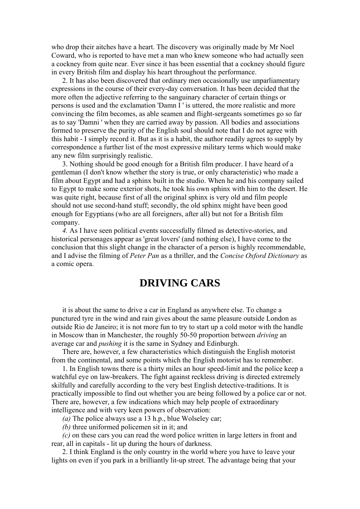who drop their aitches have a heart. The discovery was originally made by Mr Noel Coward, who is reported to have met a man who knew someone who had actually seen a cockney from quite near. Ever since it has been essential that a cockney should figure in every British film and display his heart throughout the performance.

 2. It has also been discovered that ordinary men occasionally use unparliamentary expressions in the course of their every-day conversation. It has been decided that the more often the adjective referring to the sanguinary character of certain things or persons is used and the exclamation 'Damn I ' is uttered, the more realistic and more convincing the film becomes, as able seamen and flight-sergeants sometimes go so far as to say 'Damni ' when they are carried away by passion. All bodies and associations formed to preserve the purity of the English soul should note that I do not agree with this habit - I simply record it. But as it is a habit, the author readily agrees to supply by correspondence a further list of the most expressive military terms which would make any new film surprisingly realistic.

 3. Nothing should be good enough for a British film producer. I have heard of a gentleman (I don't know whether the story is true, or only characteristic) who made a film about Egypt and had a sphinx built in the studio. When he and his company sailed to Egypt to make some exterior shots, he took his own sphinx with him to the desert. He was quite right, because first of all the original sphinx is very old and film people should not use second-hand stuff; secondly, the old sphinx might have been good enough for Egyptians (who are all foreigners, after all) but not for a British film company.

 *4.* As I have seen political events successfully filmed as detective-stories, and historical personages appear as 'great lovers' (and nothing else), I have come to the conclusion that this slight change in the character of a person is highly recommendable, and I advise the filming of *Peter Pan* as a thriller, and the *Concise Oxford Dictionary* as a comic opera.

#### **DRIVING CARS**

 it is about the same to drive a car in England as anywhere else. To change a punctured tyre in the wind and rain gives about the same pleasure outside London as outside Rio de Janeiro; it is not more fun to try to start up a cold motor with the handle in Moscow than in Manchester, the roughly 50-50 proportion between *driving* an average car and *pushing* it is the same in Sydney and Edinburgh.

 There are, however, a few characteristics which distinguish the English motorist from the continental, and some points which the English motorist has to remember.

 1. In English towns there is a thirty miles an hour speed-limit and the police keep a watchful eye on law-breakers. The fight against reckless driving is directed extremely skilfully and carefully according to the very best English detective-traditions. It is practically impossible to find out whether you are being followed by a police car or not. There are, however, a few indications which may help people of extraordinary intelligence and with very keen powers of observation:

*(a)* The police always use a 13 h.p., blue Wolseley car;

*(b)* three uniformed policemen sit in it; and

 *(c)* on these cars you can read the word police written in large letters in front and rear, all in capitals - lit up during the hours of darkness.

 2. I think England is the only country in the world where you have to leave your lights on even if you park in a brilliantly lit-up street. The advantage being that your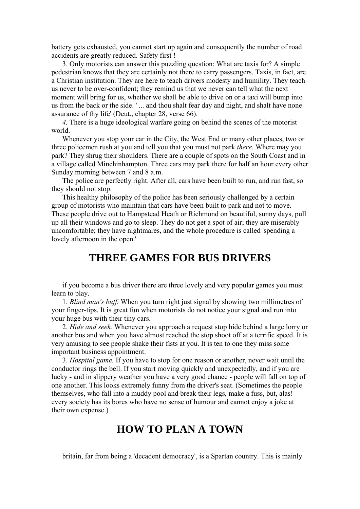battery gets exhausted, you cannot start up again and consequently the number of road accidents are greatly reduced. Safety first !

 3. Only motorists can answer this puzzling question: What are taxis for? A simple pedestrian knows that they are certainly not there to carry passengers. Taxis, in fact, are a Christian institution. They are here to teach drivers modesty and humility. They teach us never to be over-confident; they remind us that we never can tell what the next moment will bring for us, whether we shall be able to drive on or a taxi will bump into us from the back or the side. ' ... and thou shalt fear day and night, and shalt have none assurance of thy life' (Deut., chapter 28, verse 66).

 *4.* There is a huge ideological warfare going on behind the scenes of the motorist world.

 Whenever you stop your car in the City, the West End or many other places, two or three policemen rush at you and tell you that you must not park *there.* Where may you park? They shrug their shoulders. There are a couple of spots on the South Coast and in a village called Minchinhampton. Three cars may park there for half an hour every other Sunday morning between 7 and 8 a.m.

 The police are perfectly right. After all, cars have been built to run, and run fast, so they should not stop.

 This healthy philosophy of the police has been seriously challenged by a certain group of motorists who maintain that cars have been built to park and not to move. These people drive out to Hampstead Heath or Richmond on beautiful, sunny days, pull up all their windows and go to sleep. They do not get a spot of air; they are miserably uncomfortable; they have nightmares, and the whole procedure is called 'spending a lovely afternoon in the open.'

# **THREE GAMES FOR BUS DRIVERS**

 if you become a bus driver there are three lovely and very popular games you must learn to play.

 1. *Blind man's buff.* When you turn right just signal by showing two millimetres of your finger-tips. It is great fun when motorists do not notice your signal and run into your huge bus with their tiny cars.

 2. *Hide and seek.* Whenever you approach a request stop hide behind a large lorry or another bus and when you have almost reached the stop shoot off at a terrific speed. It is very amusing to see people shake their fists at you. It is ten to one they miss some important business appointment.

 3. *Hospital game.* If you have to stop for one reason or another, never wait until the conductor rings the bell. If you start moving quickly and unexpectedly, and if you are lucky - and in slippery weather you have a very good chance - people will fall on top of one another. This looks extremely funny from the driver's seat. (Sometimes the people themselves, who fall into a muddy pool and break their legs, make a fuss, but, alas! every society has its bores who have no sense of humour and cannot enjoy a joke at their own expense.)

# **HOW TO PLAN A TOWN**

britain, far from being a 'decadent democracy', is a Spartan country. This is mainly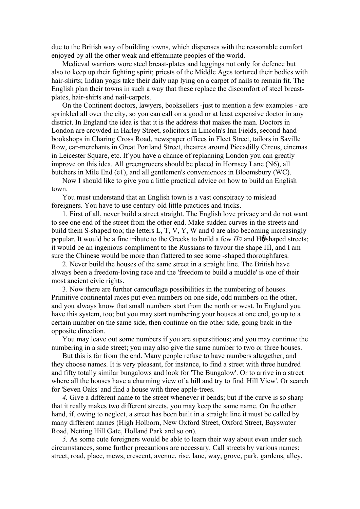due to the British way of building towns, which dispenses with the reasonable comfort enjoyed by all the other weak and effeminate peoples of the world.

 Medieval warriors wore steel breast-plates and leggings not only for defence but also to keep up their fighting spirit; priests of the Middle Ages tortured their bodies with hair-shirts; Indian yogis take their daily nap lying on a carpet of nails to remain fit. The English plan their towns in such a way that these replace the discomfort of steel breastplates, hair-shirts and nail-carpets.

 On the Continent doctors, lawyers, booksellers -just to mention a few examples - are sprinkled all over the city, so you can call on a good or at least expensive doctor in any district. In England the idea is that it is the address that makes the man. Doctors in London are crowded in Harley Street, solicitors in Lincoln's Inn Fields, second-handbookshops in Charing Cross Road, newspaper offices in Fleet Street, tailors in Saville Row, car-merchants in Great Portland Street, theatres around Piccadilly Circus, cinemas in Leicester Square, etc. If you have a chance of replanning London you can greatly improve on this idea. All greengrocers should be placed in Hornsey Lane (N6), all butchers in Mile End (e1), and all gentlemen's conveniences in Bloomsbury (WC).

 Now I should like to give you a little practical advice on how to build an English town.

 You must understand that an English town is a vast conspiracy to mislead foreigners. You have to use century-old little practices and tricks.

 1. First of all, never build a street straight. The English love privacy and do not want to see one end of the street from the other end. Make sudden curves in the streets and build them S-shaped too; the letters L, T, V, Y, W and 0 are also becoming increasingly popular. It would be a fine tribute to the Greeks to build a few  $\Pi^{\alpha}$  and HO shaped streets; it would be an ingenious compliment to the Russians to favour the shape ПЇ, and I am sure the Chinese would be more than flattered to see some -shaped thoroughfares.

 2. Never build the houses of the same street in a straight line. The British have always been a freedom-loving race and the 'freedom to build a muddle' is one of their most ancient civic rights.

 3. Now there are further camouflage possibilities in the numbering of houses. Primitive continental races put even numbers on one side, odd numbers on the other, and you always know that small numbers start from the north or west. In England you have this system, too; but you may start numbering your houses at one end, go up to a certain number on the same side, then continue on the other side, going back in the opposite direction.

 You may leave out some numbers if you are superstitious; and you may continue the numbering in a side street; you may also give the same number to two or three houses.

 But this is far from the end. Many people refuse to have numbers altogether, and they choose names. It is very pleasant, for instance, to find a street with three hundred and fifty totally similar bungalows and look for 'The Bungalow'. Or to arrive in a street where all the houses have a charming view of a hill and try to find 'Hill View'. Or search for 'Seven Oaks' and find a house with three apple-trees.

 *4.* Give a different name to the street whenever it bends; but if the curve is so sharp that it really makes two different streets, you may keep the same name. On the other hand, if, owing to neglect, a street has been built in a straight line it must be called by many different names (High Holborn, New Oxford Street, Oxford Street, Bayswater Road, Netting Hill Gate, Holland Park and so on).

 *5.* As some cute foreigners would be able to learn their way about even under such circumstances, some further precautions are necessary. Call streets by various names: street, road, place, mews, crescent, avenue, rise, lane, way, grove, park, gardens, alley,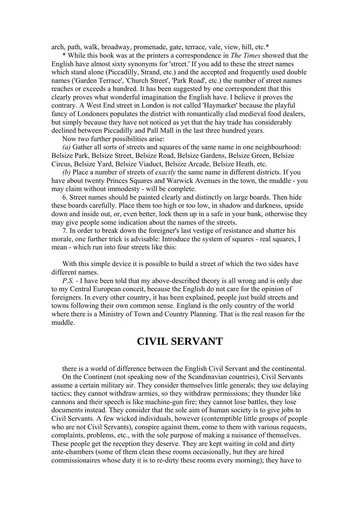arch, path, walk, broadway, promenade, gate, terrace, vale, view, hill, etc.\*

 \* While this book was at the printers a correspondence in *The Times* showed that the English have almost sixty synonyms for 'street.' If you add to these the street names which stand alone (Piccadilly, Strand, etc.) and the accepted and frequently used double names ('Garden Terrace', 'Church Street', 'Park Road', etc.) the number of street names reaches or exceeds a hundred. It has been suggested by one correspondent that this clearly proves what wonderful imagination the English have. I believe it proves the contrary. A West End street in London is not called 'Haymarket' because the playful fancy of Londoners populates the district with romantically clad medieval food dealers, but simply because they have not noticed as yet that the hay trade has considerably declined between Piccadilly and Pall Mall in the last three hundred years.

Now two further possibilities arise:

 *(a)* Gather all sorts of streets and squares of the same name in one neighbourhood: Belsize Park, Belsize Street, Belsize Road, Belsize Gardens, Belsize Green, Belsize Circus, Belsize Yard, Belsize Viaduct, Belsize Arcade, Belsize Heath, etc.

 *(b)* Place a number of streets of *exactly* the same name in different districts. If you have about twenty Princes Squares and Warwick Avenues in the town, the muddle - you may claim without immodesty - will be complete.

 6. Street names should be painted clearly and distinctly on large boards. Then hide these boards carefully. Place them too high or too low, in shadow and darkness, upside down and inside out, or, even better, lock them up in a safe in your bank, otherwise they may give people some indication about the names of the streets.

 7. In order to break down the foreigner's last vestige of resistance and shatter his morale, one further trick is advisable: Introduce the system of squares - real squares, I mean - which run into four streets like this:

 With this simple device it is possible to build a street of which the two sides have different names.

 *P.S. -* I have been told that my above-described theory is all wrong and is only due to my Central European conceit, because the English do not care for the opinion of foreigners. In every other country, it has been explained, people just build streets and towns following their own common sense. England is the only country of the world where there is a Ministry of Town and Country Planning. That is the real reason for the muddle.

# **CIVIL SERVANT**

 there is a world of difference between the English Civil Servant and the continental. On the Continent (not speaking now of the Scandinavian countries), Civil Servants assume a certain military air. They consider themselves little generals; they use delaying tactics; they cannot withdraw armies, so they withdraw permissions; they thunder like cannons and their speech is like machine-gun fire; they cannot lose battles, they lose documents instead. They consider that the sole aim of human society is to give jobs to Civil Servants. A few wicked individuals, however (contemptible little groups of people who are not Civil Servants), conspire against them, come to them with various requests, complaints, problems, etc., with the sole purpose of making a nuisance of themselves. These people get the reception they deserve. They are kept waiting in cold and dirty

ante-chambers (some of them clean these rooms occasionally, but they are hired commissionaires whose duty it is to re-dirty these rooms every morning); they have to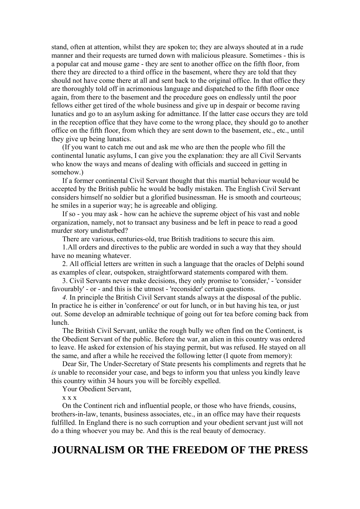stand, often at attention, whilst they are spoken to; they are always shouted at in a rude manner and their requests are turned down with malicious pleasure. Sometimes - this is a popular cat and mouse game - they are sent to another office on the fifth floor, from there they are directed to a third office in the basement, where they are told that they should not have come there at all and sent back to the original office. In that office they are thoroughly told off in acrimonious language and dispatched to the fifth floor once again, from there to the basement and the procedure goes on endlessly until the poor fellows either get tired of the whole business and give up in despair or become raving lunatics and go to an asylum asking for admittance. If the latter case occurs they are told in the reception office that they have come to the wrong place, they should go to another office on the fifth floor, from which they are sent down to the basement, etc., etc., until they give up being lunatics.

 (If you want to catch me out and ask me who are then the people who fill the continental lunatic asylums, I can give you the explanation: they are all Civil Servants who know the ways and means of dealing with officials and succeed in getting in somehow.)

 If a former continental Civil Servant thought that this martial behaviour would be accepted by the British public he would be badly mistaken. The English Civil Servant considers himself no soldier but a glorified businessman. He is smooth and courteous; he smiles in a superior way; he is agreeable and obliging.

 If so - you may ask - how can he achieve the supreme object of his vast and noble organization, namely, not to transact any business and be left in peace to read a good murder story undisturbed?

There are various, centuries-old, true British traditions to secure this aim.

 1.All orders and directives to the public are worded in such a way that they should have no meaning whatever.

 2. All official letters are written in such a language that the oracles of Delphi sound as examples of clear, outspoken, straightforward statements compared with them.

 3. Civil Servants never make decisions, they only promise to 'consider,' - 'consider favourably' - or - and this is the utmost - 'reconsider' certain questions.

 *4.* In principle the British Civil Servant stands always at the disposal of the public. In practice he is either in 'conference' or out for lunch, or in but having his tea, or just out. Some develop an admirable technique of going out for tea before coming back from lunch.

 The British Civil Servant, unlike the rough bully we often find on the Continent, is the Obedient Servant of the public. Before the war, an alien in this country was ordered to leave. He asked for extension of his staying permit, but was refused. He stayed on all the same, and after a while he received the following letter (I quote from memory):

 Dear Sir, The Under-Secretary of State presents his compliments and regrets that he *is* unable to reconsider your case, and begs to inform you that unless you kindly leave this country within 34 hours you will be forcibly expelled.

Your Obedient Servant,

x x x

 On the Continent rich and influential people, or those who have friends, cousins, brothers-in-law, tenants, business associates, etc., in an office may have their requests fulfilled. In England there is no such corruption and your obedient servant just will not do a thing whoever you may be. And this is the real beauty of democracy.

### **JOURNALISM OR THE FREEDOM OF THE PRESS**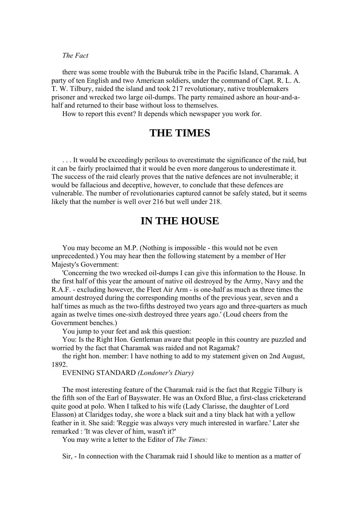#### *The Fact*

 there was some trouble with the Buburuk tribe in the Pacific Island, Charamak. A party of ten English and two American soldiers, under the command of Capt. R. L. A. T. W. Tilbury, raided the island and took 217 revolutionary, native troublemakers prisoner and wrecked two large oil-dumps. The party remained ashore an hour-and-ahalf and returned to their base without loss to themselves.

How to report this event? It depends which newspaper you work for.

# **THE TIMES**

 . . . It would be exceedingly perilous to overestimate the significance of the raid, but it can be fairly proclaimed that it would be even more dangerous to underestimate it. The success of the raid clearly proves that the native defences are not invulnerable; it would be fallacious and deceptive, however, to conclude that these defences are vulnerable. The number of revolutionaries captured cannot be safely stated, but it seems likely that the number is well over 216 but well under 218.

# **IN THE HOUSE**

 You may become an M.P. (Nothing is impossible - this would not be even unprecedented.) You may hear then the following statement by a member of Her Majesty's Government:

 'Concerning the two wrecked oil-dumps I can give this information to the House. In the first half of this year the amount of native oil destroyed by the Army, Navy and the R.A.F. - excluding however, the Fleet Air Arm - is one-half as much as three times the amount destroyed during the corresponding months of the previous year, seven and a half times as much as the two-fifths destroyed two years ago and three-quarters as much again as twelve times one-sixth destroyed three years ago.' (Loud cheers from the Government benches.)

You jump to your feet and ask this question:

 You: Is the Right Hon. Gentleman aware that people in this country are puzzled and worried by the fact that Charamak was raided and not Ragamak?

 the right hon. member: I have nothing to add to my statement given on 2nd August, 1892.

EVENING STANDARD *(Londoner's Diary)*

 The most interesting feature of the Charamak raid is the fact that Reggie Tilbury is the fifth son of the Earl of Bayswater. He was an Oxford Blue, a first-class cricketerand quite good at polo. When I talked to his wife (Lady Clarisse, the daughter of Lord Elasson) at Claridges today, she wore a black suit and a tiny black hat with a yellow feather in it. She said: 'Reggie was always very much interested in warfare.' Later she remarked : 'It was clever of him, wasn't it?'

You may write a letter to the Editor of *The Times:*

Sir, - In connection with the Charamak raid I should like to mention as a matter of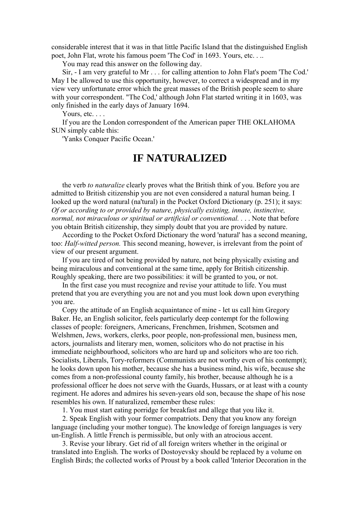considerable interest that it was in that little Pacific Island that the distinguished English poet, John Flat, wrote his famous poem 'The Cod' in 1693. Yours, etc. . ..

You may read this answer on the following day.

 Sir, - I am very grateful to Mr . . . for calling attention to John Flat's poem 'The Cod.' May I be allowed to use this opportunity, however, to correct a widespread and in my view very unfortunate error which the great masses of the British people seem to share with your correspondent. "The Cod,' although John Flat started writing it in 1603, was only finished in the early days of January 1694.

Yours, etc. . . .

 If you are the London correspondent of the American paper THE OKLAHOMA SUN simply cable this:

'Yanks Conquer Pacific Ocean.'

#### **IF NATURALIZED**

 the verb *to naturalize* clearly proves what the British think of you. Before you are admitted to British citizenship you are not even considered a natural human being. I looked up the word natural (na'tural) in the Pocket Oxford Dictionary (p. 251); it says: *Of or according to or provided by nature, physically existing, innate, instinctive, normal, not miraculous or spiritual or artificial or conventional. .* . . Note that before you obtain British citizenship, they simply doubt that you are provided by nature.

 According to the Pocket Oxford Dictionary the word 'natural' has a second meaning, too: *Half-witted person.* This second meaning, however, is irrelevant from the point of view of our present argument.

 If you are tired of not being provided by nature, not being physically existing and being miraculous and conventional at the same time, apply for British citizenship. Roughly speaking, there are two possibilities: it will be granted to you, or not.

 In the first case you must recognize and revise your attitude to life. You must pretend that you are everything you are not and you must look down upon everything you are.

 Copy the attitude of an English acquaintance of mine - let us call him Gregory Baker. He, an English solicitor, feels particularly deep contempt for the following classes of people: foreigners, Americans, Frenchmen, Irishmen, Scotsmen and Welshmen, Jews, workers, clerks, poor people, non-professional men, business men, actors, journalists and literary men, women, solicitors who do not practise in his immediate neighbourhood, solicitors who are hard up and solicitors who are too rich. Socialists, Liberals, Tory-reformers (Communists are not worthy even of his contempt); he looks down upon his mother, because she has a business mind, his wife, because she comes from a non-professional county family, his brother, because although he is a professional officer he does not serve with the Guards, Hussars, or at least with a county regiment. He adores and admires his seven-years old son, because the shape of his nose resembles his own. If naturalized, remember these rules:

1. You must start eating porridge for breakfast and allege that you like it.

 2. Speak English with your former compatriots. Deny that you know any foreign language (including your mother tongue). The knowledge of foreign languages is very un-English. A little French is permissible, but only with an atrocious accent.

 3. Revise your library. Get rid of all foreign writers whether in the original or translated into English. The works of Dostoyevsky should be replaced by a volume on English Birds; the collected works of Proust by a book called 'Interior Decoration in the